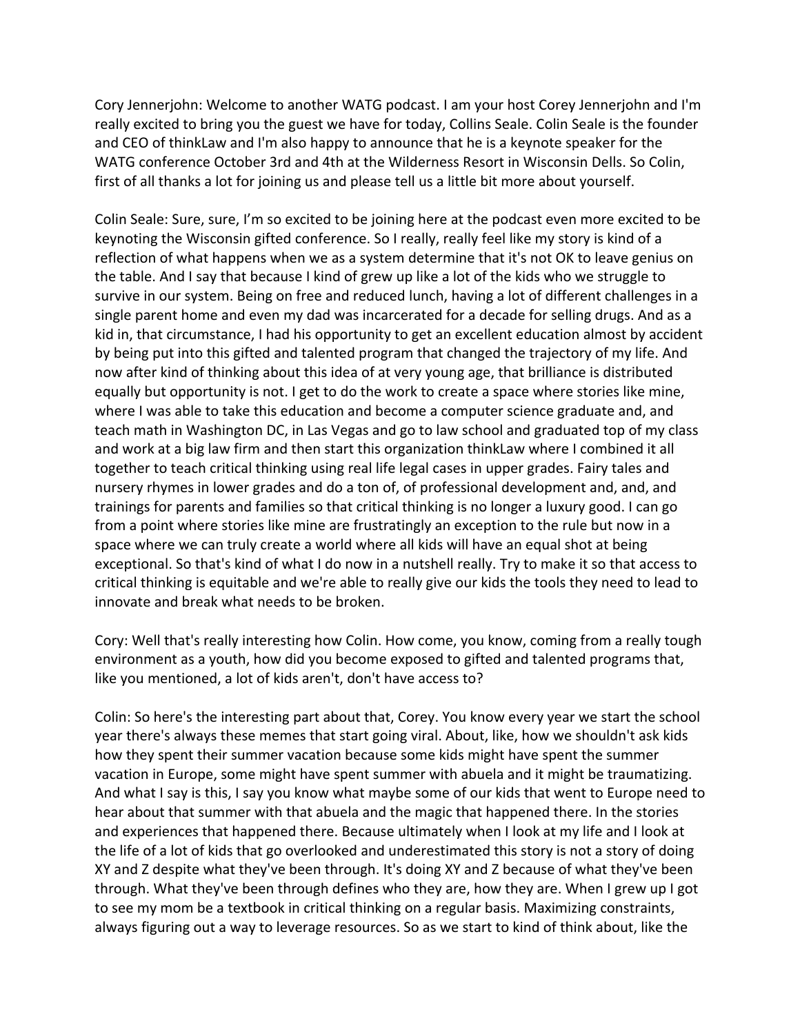Cory Jennerjohn: Welcome to another WATG podcast. I am your host Corey Jennerjohn and I'm really excited to bring you the guest we have for today, Collins Seale. Colin Seale is the founder and CEO of thinkLaw and I'm also happy to announce that he is a keynote speaker for the WATG conference October 3rd and 4th at the Wilderness Resort in Wisconsin Dells. So Colin, first of all thanks a lot for joining us and please tell us a little bit more about yourself.

Colin Seale: Sure, sure, I'm so excited to be joining here at the podcast even more excited to be keynoting the Wisconsin gifted conference. So I really, really feel like my story is kind of a reflection of what happens when we as a system determine that it's not OK to leave genius on the table. And I say that because I kind of grew up like a lot of the kids who we struggle to survive in our system. Being on free and reduced lunch, having a lot of different challenges in a single parent home and even my dad was incarcerated for a decade for selling drugs. And as a kid in, that circumstance, I had his opportunity to get an excellent education almost by accident by being put into this gifted and talented program that changed the trajectory of my life. And now after kind of thinking about this idea of at very young age, that brilliance is distributed equally but opportunity is not. I get to do the work to create a space where stories like mine, where I was able to take this education and become a computer science graduate and, and teach math in Washington DC, in Las Vegas and go to law school and graduated top of my class and work at a big law firm and then start this organization thinkLaw where I combined it all together to teach critical thinking using real life legal cases in upper grades. Fairy tales and nursery rhymes in lower grades and do a ton of, of professional development and, and, and trainings for parents and families so that critical thinking is no longer a luxury good. I can go from a point where stories like mine are frustratingly an exception to the rule but now in a space where we can truly create a world where all kids will have an equal shot at being exceptional. So that's kind of what I do now in a nutshell really. Try to make it so that access to critical thinking is equitable and we're able to really give our kids the tools they need to lead to innovate and break what needs to be broken.

Cory: Well that's really interesting how Colin. How come, you know, coming from a really tough environment as a youth, how did you become exposed to gifted and talented programs that, like you mentioned, a lot of kids aren't, don't have access to?

Colin: So here's the interesting part about that, Corey. You know every year we start the school year there's always these memes that start going viral. About, like, how we shouldn't ask kids how they spent their summer vacation because some kids might have spent the summer vacation in Europe, some might have spent summer with abuela and it might be traumatizing. And what I say is this, I say you know what maybe some of our kids that went to Europe need to hear about that summer with that abuela and the magic that happened there. In the stories and experiences that happened there. Because ultimately when I look at my life and I look at the life of a lot of kids that go overlooked and underestimated this story is not a story of doing XY and Z despite what they've been through. It's doing XY and Z because of what they've been through. What they've been through defines who they are, how they are. When I grew up I got to see my mom be a textbook in critical thinking on a regular basis. Maximizing constraints, always figuring out a way to leverage resources. So as we start to kind of think about, like the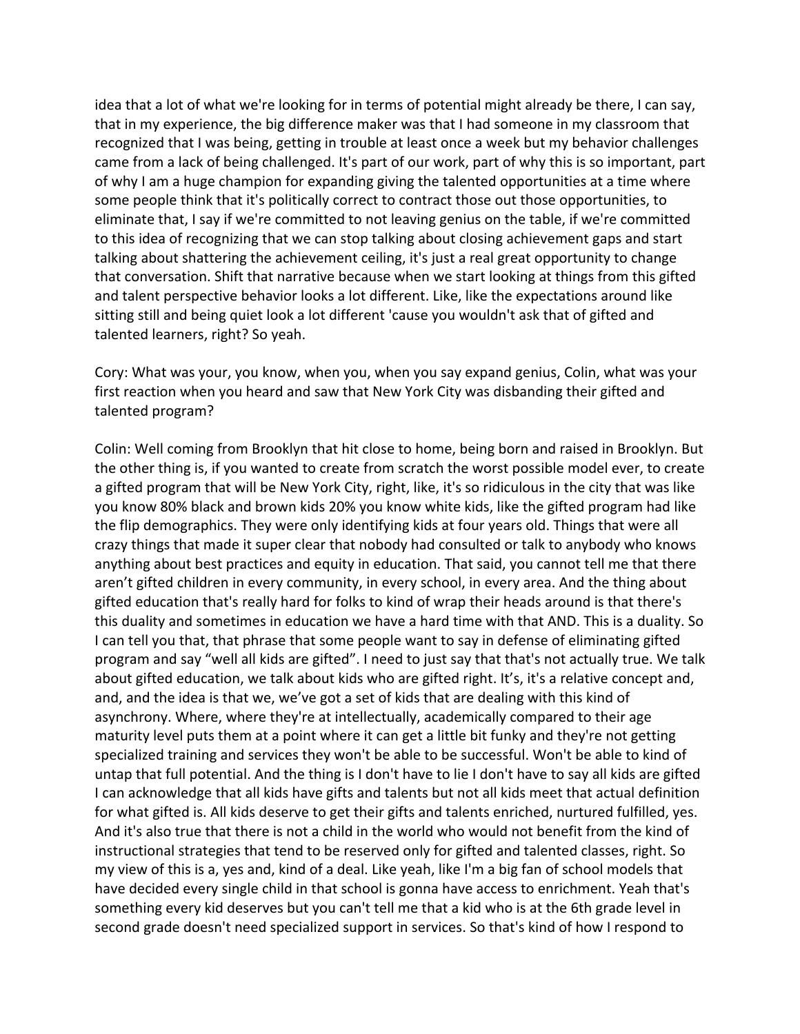idea that a lot of what we're looking for in terms of potential might already be there, I can say, that in my experience, the big difference maker was that I had someone in my classroom that recognized that I was being, getting in trouble at least once a week but my behavior challenges came from a lack of being challenged. It's part of our work, part of why this is so important, part of why I am a huge champion for expanding giving the talented opportunities at a time where some people think that it's politically correct to contract those out those opportunities, to eliminate that, I say if we're committed to not leaving genius on the table, if we're committed to this idea of recognizing that we can stop talking about closing achievement gaps and start talking about shattering the achievement ceiling, it's just a real great opportunity to change that conversation. Shift that narrative because when we start looking at things from this gifted and talent perspective behavior looks a lot different. Like, like the expectations around like sitting still and being quiet look a lot different 'cause you wouldn't ask that of gifted and talented learners, right? So yeah.

Cory: What was your, you know, when you, when you say expand genius, Colin, what was your first reaction when you heard and saw that New York City was disbanding their gifted and talented program?

Colin: Well coming from Brooklyn that hit close to home, being born and raised in Brooklyn. But the other thing is, if you wanted to create from scratch the worst possible model ever, to create a gifted program that will be New York City, right, like, it's so ridiculous in the city that was like you know 80% black and brown kids 20% you know white kids, like the gifted program had like the flip demographics. They were only identifying kids at four years old. Things that were all crazy things that made it super clear that nobody had consulted or talk to anybody who knows anything about best practices and equity in education. That said, you cannot tell me that there aren't gifted children in every community, in every school, in every area. And the thing about gifted education that's really hard for folks to kind of wrap their heads around is that there's this duality and sometimes in education we have a hard time with that AND. This is a duality. So I can tell you that, that phrase that some people want to say in defense of eliminating gifted program and say "well all kids are gifted". I need to just say that that's not actually true. We talk about gifted education, we talk about kids who are gifted right. It's, it's a relative concept and, and, and the idea is that we, we've got a set of kids that are dealing with this kind of asynchrony. Where, where they're at intellectually, academically compared to their age maturity level puts them at a point where it can get a little bit funky and they're not getting specialized training and services they won't be able to be successful. Won't be able to kind of untap that full potential. And the thing is I don't have to lie I don't have to say all kids are gifted I can acknowledge that all kids have gifts and talents but not all kids meet that actual definition for what gifted is. All kids deserve to get their gifts and talents enriched, nurtured fulfilled, yes. And it's also true that there is not a child in the world who would not benefit from the kind of instructional strategies that tend to be reserved only for gifted and talented classes, right. So my view of this is a, yes and, kind of a deal. Like yeah, like I'm a big fan of school models that have decided every single child in that school is gonna have access to enrichment. Yeah that's something every kid deserves but you can't tell me that a kid who is at the 6th grade level in second grade doesn't need specialized support in services. So that's kind of how I respond to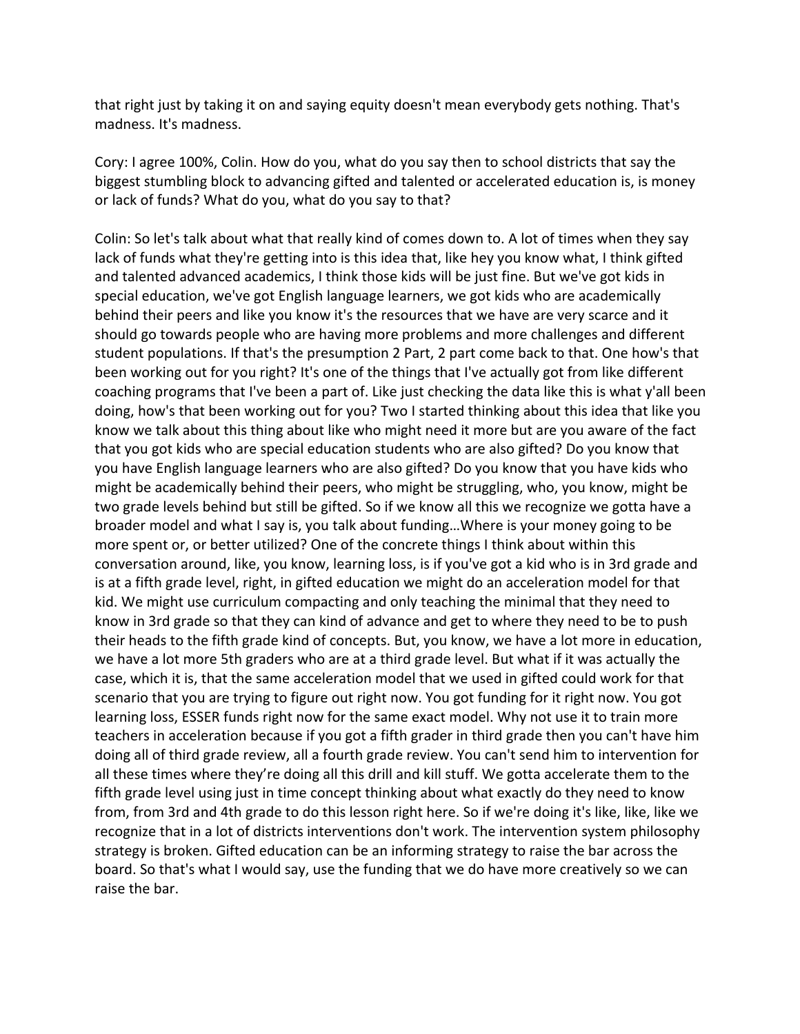that right just by taking it on and saying equity doesn't mean everybody gets nothing. That's madness. It's madness.

Cory: I agree 100%, Colin. How do you, what do you say then to school districts that say the biggest stumbling block to advancing gifted and talented or accelerated education is, is money or lack of funds? What do you, what do you say to that?

Colin: So let's talk about what that really kind of comes down to. A lot of times when they say lack of funds what they're getting into is this idea that, like hey you know what, I think gifted and talented advanced academics, I think those kids will be just fine. But we've got kids in special education, we've got English language learners, we got kids who are academically behind their peers and like you know it's the resources that we have are very scarce and it should go towards people who are having more problems and more challenges and different student populations. If that's the presumption 2 Part, 2 part come back to that. One how's that been working out for you right? It's one of the things that I've actually got from like different coaching programs that I've been a part of. Like just checking the data like this is what y'all been doing, how's that been working out for you? Two I started thinking about this idea that like you know we talk about this thing about like who might need it more but are you aware of the fact that you got kids who are special education students who are also gifted? Do you know that you have English language learners who are also gifted? Do you know that you have kids who might be academically behind their peers, who might be struggling, who, you know, might be two grade levels behind but still be gifted. So if we know all this we recognize we gotta have a broader model and what I say is, you talk about funding…Where is your money going to be more spent or, or better utilized? One of the concrete things I think about within this conversation around, like, you know, learning loss, is if you've got a kid who is in 3rd grade and is at a fifth grade level, right, in gifted education we might do an acceleration model for that kid. We might use curriculum compacting and only teaching the minimal that they need to know in 3rd grade so that they can kind of advance and get to where they need to be to push their heads to the fifth grade kind of concepts. But, you know, we have a lot more in education, we have a lot more 5th graders who are at a third grade level. But what if it was actually the case, which it is, that the same acceleration model that we used in gifted could work for that scenario that you are trying to figure out right now. You got funding for it right now. You got learning loss, ESSER funds right now for the same exact model. Why not use it to train more teachers in acceleration because if you got a fifth grader in third grade then you can't have him doing all of third grade review, all a fourth grade review. You can't send him to intervention for all these times where they're doing all this drill and kill stuff. We gotta accelerate them to the fifth grade level using just in time concept thinking about what exactly do they need to know from, from 3rd and 4th grade to do this lesson right here. So if we're doing it's like, like, like we recognize that in a lot of districts interventions don't work. The intervention system philosophy strategy is broken. Gifted education can be an informing strategy to raise the bar across the board. So that's what I would say, use the funding that we do have more creatively so we can raise the bar.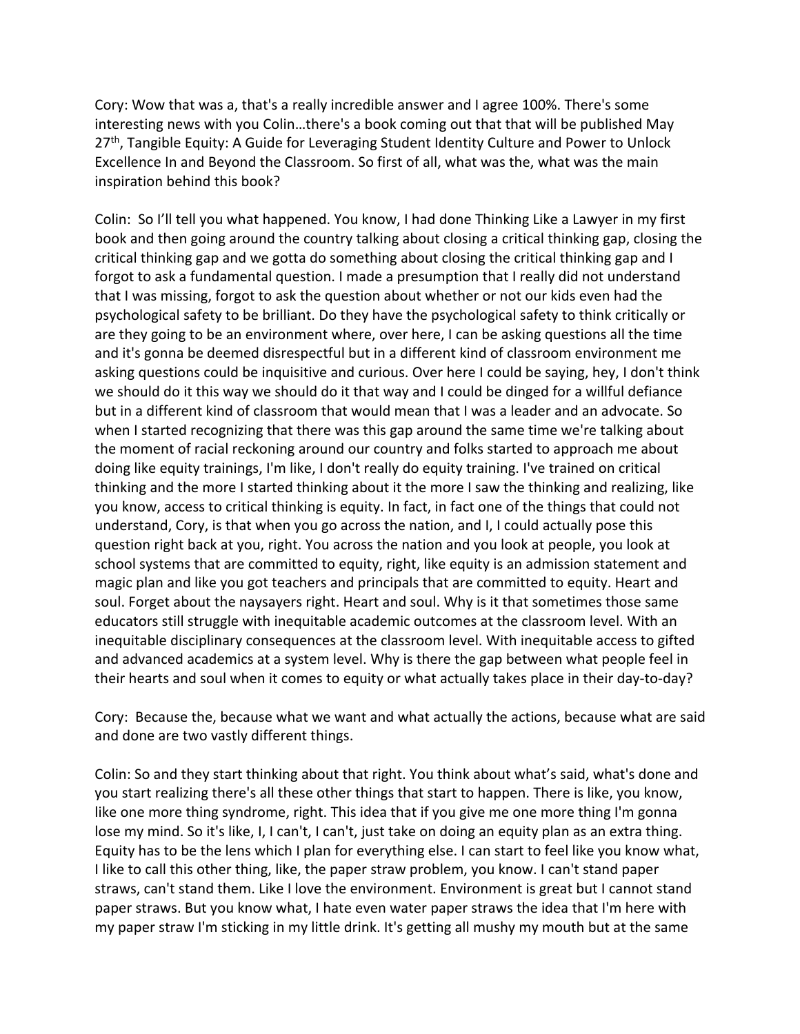Cory: Wow that was a, that's a really incredible answer and I agree 100%. There's some interesting news with you Colin…there's a book coming out that that will be published May 27<sup>th</sup>, Tangible Equity: A Guide for Leveraging Student Identity Culture and Power to Unlock Excellence In and Beyond the Classroom. So first of all, what was the, what was the main inspiration behind this book?

Colin: So I'll tell you what happened. You know, I had done Thinking Like a Lawyer in my first book and then going around the country talking about closing a critical thinking gap, closing the critical thinking gap and we gotta do something about closing the critical thinking gap and I forgot to ask a fundamental question. I made a presumption that I really did not understand that I was missing, forgot to ask the question about whether or not our kids even had the psychological safety to be brilliant. Do they have the psychological safety to think critically or are they going to be an environment where, over here, I can be asking questions all the time and it's gonna be deemed disrespectful but in a different kind of classroom environment me asking questions could be inquisitive and curious. Over here I could be saying, hey, I don't think we should do it this way we should do it that way and I could be dinged for a willful defiance but in a different kind of classroom that would mean that I was a leader and an advocate. So when I started recognizing that there was this gap around the same time we're talking about the moment of racial reckoning around our country and folks started to approach me about doing like equity trainings, I'm like, I don't really do equity training. I've trained on critical thinking and the more I started thinking about it the more I saw the thinking and realizing, like you know, access to critical thinking is equity. In fact, in fact one of the things that could not understand, Cory, is that when you go across the nation, and I, I could actually pose this question right back at you, right. You across the nation and you look at people, you look at school systems that are committed to equity, right, like equity is an admission statement and magic plan and like you got teachers and principals that are committed to equity. Heart and soul. Forget about the naysayers right. Heart and soul. Why is it that sometimes those same educators still struggle with inequitable academic outcomes at the classroom level. With an inequitable disciplinary consequences at the classroom level. With inequitable access to gifted and advanced academics at a system level. Why is there the gap between what people feel in their hearts and soul when it comes to equity or what actually takes place in their day-to-day?

Cory: Because the, because what we want and what actually the actions, because what are said and done are two vastly different things.

Colin: So and they start thinking about that right. You think about what's said, what's done and you start realizing there's all these other things that start to happen. There is like, you know, like one more thing syndrome, right. This idea that if you give me one more thing I'm gonna lose my mind. So it's like, I, I can't, I can't, just take on doing an equity plan as an extra thing. Equity has to be the lens which I plan for everything else. I can start to feel like you know what, I like to call this other thing, like, the paper straw problem, you know. I can't stand paper straws, can't stand them. Like I love the environment. Environment is great but I cannot stand paper straws. But you know what, I hate even water paper straws the idea that I'm here with my paper straw I'm sticking in my little drink. It's getting all mushy my mouth but at the same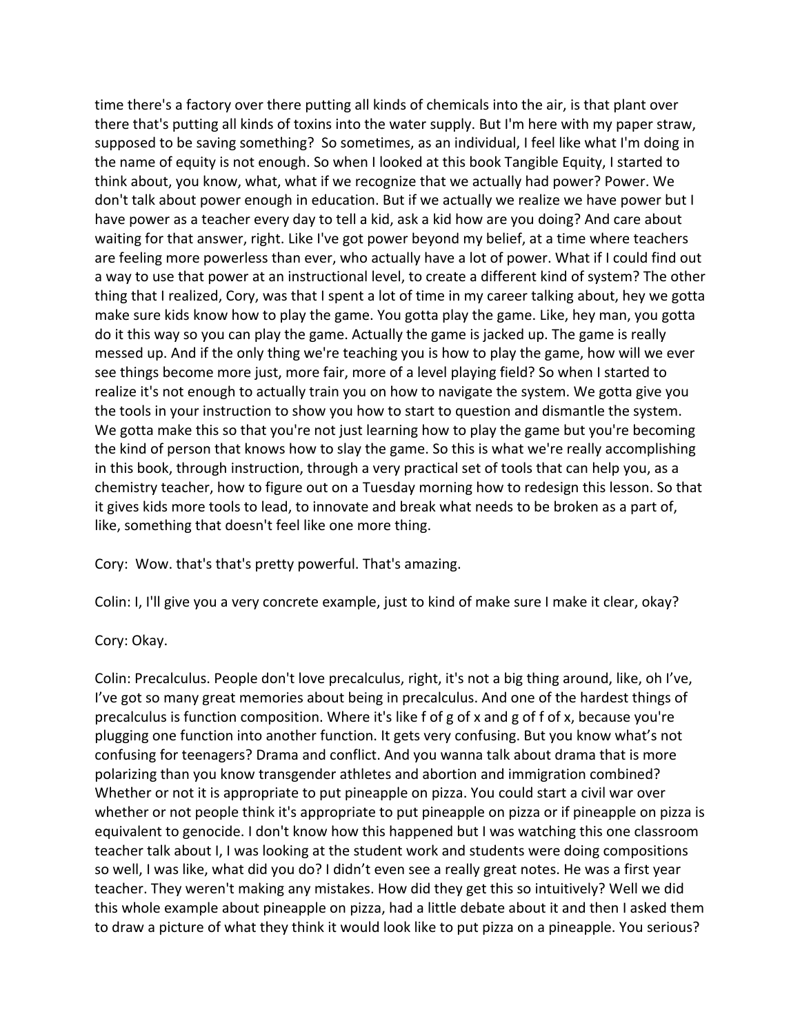time there's a factory over there putting all kinds of chemicals into the air, is that plant over there that's putting all kinds of toxins into the water supply. But I'm here with my paper straw, supposed to be saving something? So sometimes, as an individual, I feel like what I'm doing in the name of equity is not enough. So when I looked at this book Tangible Equity, I started to think about, you know, what, what if we recognize that we actually had power? Power. We don't talk about power enough in education. But if we actually we realize we have power but I have power as a teacher every day to tell a kid, ask a kid how are you doing? And care about waiting for that answer, right. Like I've got power beyond my belief, at a time where teachers are feeling more powerless than ever, who actually have a lot of power. What if I could find out a way to use that power at an instructional level, to create a different kind of system? The other thing that I realized, Cory, was that I spent a lot of time in my career talking about, hey we gotta make sure kids know how to play the game. You gotta play the game. Like, hey man, you gotta do it this way so you can play the game. Actually the game is jacked up. The game is really messed up. And if the only thing we're teaching you is how to play the game, how will we ever see things become more just, more fair, more of a level playing field? So when I started to realize it's not enough to actually train you on how to navigate the system. We gotta give you the tools in your instruction to show you how to start to question and dismantle the system. We gotta make this so that you're not just learning how to play the game but you're becoming the kind of person that knows how to slay the game. So this is what we're really accomplishing in this book, through instruction, through a very practical set of tools that can help you, as a chemistry teacher, how to figure out on a Tuesday morning how to redesign this lesson. So that it gives kids more tools to lead, to innovate and break what needs to be broken as a part of, like, something that doesn't feel like one more thing.

Cory: Wow. that's that's pretty powerful. That's amazing.

Colin: I, I'll give you a very concrete example, just to kind of make sure I make it clear, okay?

Cory: Okay.

Colin: Precalculus. People don't love precalculus, right, it's not a big thing around, like, oh I've, I've got so many great memories about being in precalculus. And one of the hardest things of precalculus is function composition. Where it's like f of g of x and g of f of x, because you're plugging one function into another function. It gets very confusing. But you know what's not confusing for teenagers? Drama and conflict. And you wanna talk about drama that is more polarizing than you know transgender athletes and abortion and immigration combined? Whether or not it is appropriate to put pineapple on pizza. You could start a civil war over whether or not people think it's appropriate to put pineapple on pizza or if pineapple on pizza is equivalent to genocide. I don't know how this happened but I was watching this one classroom teacher talk about I, I was looking at the student work and students were doing compositions so well, I was like, what did you do? I didn't even see a really great notes. He was a first year teacher. They weren't making any mistakes. How did they get this so intuitively? Well we did this whole example about pineapple on pizza, had a little debate about it and then I asked them to draw a picture of what they think it would look like to put pizza on a pineapple. You serious?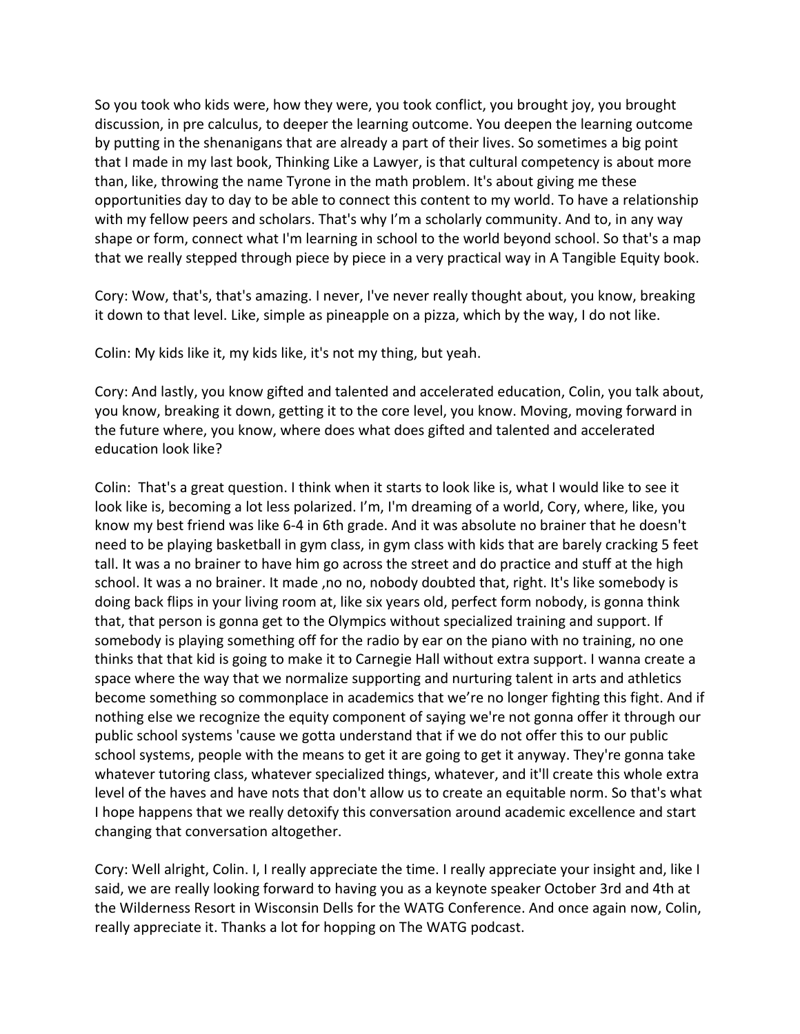So you took who kids were, how they were, you took conflict, you brought joy, you brought discussion, in pre calculus, to deeper the learning outcome. You deepen the learning outcome by putting in the shenanigans that are already a part of their lives. So sometimes a big point that I made in my last book, Thinking Like a Lawyer, is that cultural competency is about more than, like, throwing the name Tyrone in the math problem. It's about giving me these opportunities day to day to be able to connect this content to my world. To have a relationship with my fellow peers and scholars. That's why I'm a scholarly community. And to, in any way shape or form, connect what I'm learning in school to the world beyond school. So that's a map that we really stepped through piece by piece in a very practical way in A Tangible Equity book.

Cory: Wow, that's, that's amazing. I never, I've never really thought about, you know, breaking it down to that level. Like, simple as pineapple on a pizza, which by the way, I do not like.

Colin: My kids like it, my kids like, it's not my thing, but yeah.

Cory: And lastly, you know gifted and talented and accelerated education, Colin, you talk about, you know, breaking it down, getting it to the core level, you know. Moving, moving forward in the future where, you know, where does what does gifted and talented and accelerated education look like?

Colin: That's a great question. I think when it starts to look like is, what I would like to see it look like is, becoming a lot less polarized. I'm, I'm dreaming of a world, Cory, where, like, you know my best friend was like 6-4 in 6th grade. And it was absolute no brainer that he doesn't need to be playing basketball in gym class, in gym class with kids that are barely cracking 5 feet tall. It was a no brainer to have him go across the street and do practice and stuff at the high school. It was a no brainer. It made, no no, nobody doubted that, right. It's like somebody is doing back flips in your living room at, like six years old, perfect form nobody, is gonna think that, that person is gonna get to the Olympics without specialized training and support. If somebody is playing something off for the radio by ear on the piano with no training, no one thinks that that kid is going to make it to Carnegie Hall without extra support. I wanna create a space where the way that we normalize supporting and nurturing talent in arts and athletics become something so commonplace in academics that we're no longer fighting this fight. And if nothing else we recognize the equity component of saying we're not gonna offer it through our public school systems 'cause we gotta understand that if we do not offer this to our public school systems, people with the means to get it are going to get it anyway. They're gonna take whatever tutoring class, whatever specialized things, whatever, and it'll create this whole extra level of the haves and have nots that don't allow us to create an equitable norm. So that's what I hope happens that we really detoxify this conversation around academic excellence and start changing that conversation altogether.

Cory: Well alright, Colin. I, I really appreciate the time. I really appreciate your insight and, like I said, we are really looking forward to having you as a keynote speaker October 3rd and 4th at the Wilderness Resort in Wisconsin Dells for the WATG Conference. And once again now, Colin, really appreciate it. Thanks a lot for hopping on The WATG podcast.